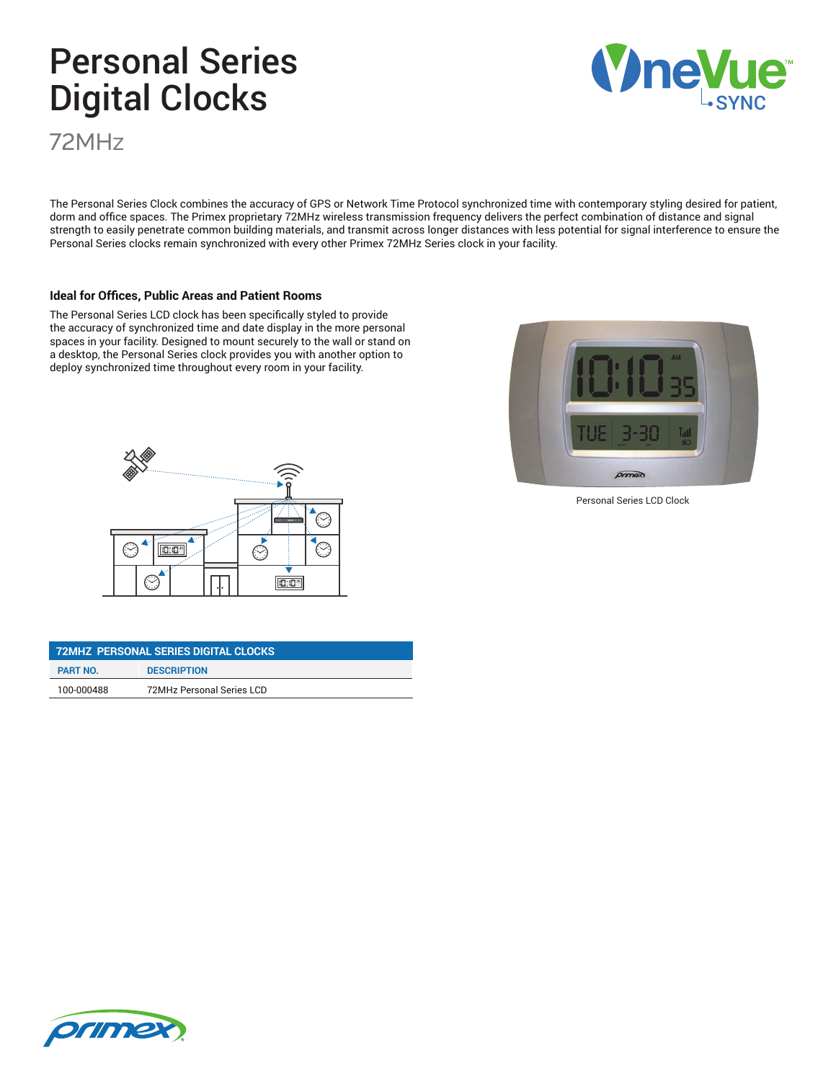# Personal Series Digital Clocks

72MHz

The Personal Series Clock combines the accuracy of GPS or Network Time Protocol synchronized time with contemporary styling desired for patient, dorm and office spaces. The Primex proprietary 72MHz wireless transmission frequency delivers the perfect combination of distance and signal strength to easily penetrate common building materials, and transmit across longer distances with less potential for signal interference to ensure the Personal Series clocks remain synchronized with every other Primex 72MHz Series clock in your facility.

#### **Ideal for Offices, Public Areas and Patient Rooms**

The Personal Series LCD clock has been specifically styled to provide the accuracy of synchronized time and date display in the more personal spaces in your facility. Designed to mount securely to the wall or stand on a desktop, the Personal Series clock provides you with another option to deploy synchronized time throughout every room in your facility.



| 72MHZ PERSONAL SERIES DIGITAL CLOCKS |                           |
|--------------------------------------|---------------------------|
| <b>PART NO.</b>                      | <b>DESCRIPTION</b>        |
| 100-000488                           | 72MHz Personal Series LCD |



Personal Series LCD Clock